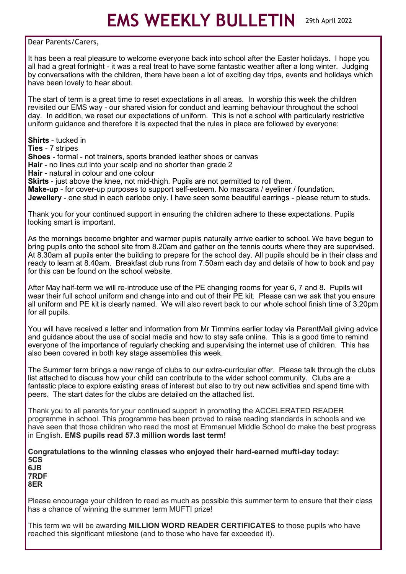## **EMS WEEKLY BULLETIN** 29th April 2022

Dear Parents/Carers,

It has been a real pleasure to welcome everyone back into school after the Easter holidays. I hope you all had a great fortnight - it was a real treat to have some fantastic weather after a long winter. Judging by conversations with the children, there have been a lot of exciting day trips, events and holidays which have been lovely to hear about.

The start of term is a great time to reset expectations in all areas. In worship this week the children revisited our EMS way - our shared vision for conduct and learning behaviour throughout the school day. In addition, we reset our expectations of uniform. This is not a school with particularly restrictive uniform guidance and therefore it is expected that the rules in place are followed by everyone:

**Shirts** - tucked in **Ties** - 7 stripes **Shoes** - formal - not trainers, sports branded leather shoes or canvas **Hair** - no lines cut into your scalp and no shorter than grade 2 **Hair** - natural in colour and one colour

**Skirts** - just above the knee, not mid-thigh. Pupils are not permitted to roll them. **Make-up** - for cover-up purposes to support self-esteem. No mascara / eyeliner / foundation.

**Jewellery** - one stud in each earlobe only. I have seen some beautiful earrings - please return to studs.

Thank you for your continued support in ensuring the children adhere to these expectations. Pupils looking smart is important.

As the mornings become brighter and warmer pupils naturally arrive earlier to school. We have begun to bring pupils onto the school site from 8.20am and gather on the tennis courts where they are supervised. At 8.30am all pupils enter the building to prepare for the school day. All pupils should be in their class and ready to learn at 8.40am. Breakfast club runs from 7.50am each day and details of how to book and pay for this can be found on the school website.

After May half-term we will re-introduce use of the PE changing rooms for year 6, 7 and 8. Pupils will wear their full school uniform and change into and out of their PE kit. Please can we ask that you ensure all uniform and PE kit is clearly named. We will also revert back to our whole school finish time of 3.20pm for all pupils.

You will have received a letter and information from Mr Timmins earlier today via ParentMail giving advice and guidance about the use of social media and how to stay safe online. This is a good time to remind everyone of the importance of regularly checking and supervising the internet use of children. This has also been covered in both key stage assemblies this week.

The Summer term brings a new range of clubs to our extra-curricular offer. Please talk through the clubs list attached to discuss how your child can contribute to the wider school community. Clubs are a fantastic place to explore existing areas of interest but also to try out new activities and spend time with peers. The start dates for the clubs are detailed on the attached list.

Thank you to all parents for your continued support in promoting the ACCELERATED READER programme in school. This programme has been proved to raise reading standards in schools and we have seen that those children who read the most at Emmanuel Middle School do make the best progress in English. **EMS pupils read 57.3 million words last term!**

**Congratulations to the winning classes who enjoyed their hard-earned mufti-day today: 5CS 6JB**

**7RDF 8ER**

Please encourage your children to read as much as possible this summer term to ensure that their class has a chance of winning the summer term MUFTI prize!

This term we will be awarding **MILLION WORD READER CERTIFICATES** to those pupils who have reached this significant milestone (and to those who have far exceeded it).